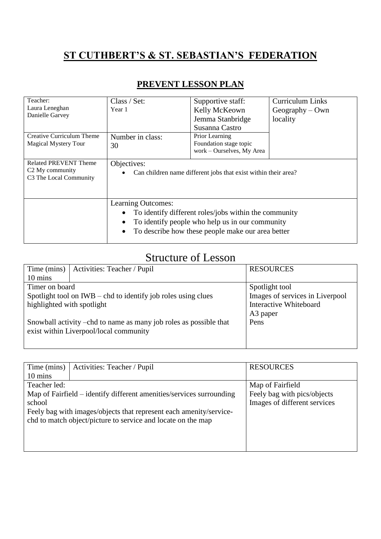## **ST CUTHBERT'S & ST. SEBASTIAN'S FEDERATION**

| Teacher:                                              | Class / Set:                                                                                                                   | Supportive staff:         | <b>Curriculum Links</b> |
|-------------------------------------------------------|--------------------------------------------------------------------------------------------------------------------------------|---------------------------|-------------------------|
| Laura Leneghan                                        | Year 1                                                                                                                         | Kelly McKeown             | $Geography - Own$       |
| Danielle Garvey                                       |                                                                                                                                | Jemma Stanbridge          | locality                |
|                                                       |                                                                                                                                | Susanna Castro            |                         |
| <b>Creative Curriculum Theme</b>                      | Number in class:                                                                                                               | Prior Learning            |                         |
| <b>Magical Mystery Tour</b>                           | 30                                                                                                                             | Foundation stage topic    |                         |
|                                                       |                                                                                                                                | work - Ourselves, My Area |                         |
| Related PREVENT Theme                                 | Objectives:<br>Can children name different jobs that exist within their area?                                                  |                           |                         |
| C <sub>2</sub> My community<br>C3 The Local Community |                                                                                                                                |                           |                         |
|                                                       |                                                                                                                                |                           |                         |
|                                                       |                                                                                                                                |                           |                         |
|                                                       | Learning Outcomes:                                                                                                             |                           |                         |
|                                                       | To identify different roles/jobs within the community                                                                          |                           |                         |
|                                                       | To identify people who help us in our community<br>$\bullet$<br>To describe how these people make our area better<br>$\bullet$ |                           |                         |
|                                                       |                                                                                                                                |                           |                         |
|                                                       |                                                                                                                                |                           |                         |

## **PREVENT LESSON PLAN**

## Structure of Lesson

| Time (mins)                                                       | Activities: Teacher / Pupil            | <b>RESOURCES</b>                |
|-------------------------------------------------------------------|----------------------------------------|---------------------------------|
| $10 \text{ mins}$                                                 |                                        |                                 |
| Timer on board                                                    |                                        | Spotlight tool                  |
| Spotlight tool on $IWB - chd$ to identify job roles using clues   |                                        | Images of services in Liverpool |
| highlighted with spotlight                                        |                                        | <b>Interactive Whiteboard</b>   |
|                                                                   |                                        | A <sub>3</sub> paper            |
| Snowball activity –chd to name as many job roles as possible that |                                        | Pens                            |
|                                                                   | exist within Liverpool/local community |                                 |
|                                                                   |                                        |                                 |

| Time (mins)  | Activities: Teacher / Pupil                                          | <b>RESOURCES</b>             |
|--------------|----------------------------------------------------------------------|------------------------------|
| 10 mins      |                                                                      |                              |
| Teacher led: |                                                                      | Map of Fairfield             |
|              | Map of Fairfield – identify different amenities/services surrounding | Feely bag with pics/objects  |
| school       |                                                                      | Images of different services |
|              | Feely bag with images/objects that represent each amenity/service-   |                              |
|              | chd to match object/picture to service and locate on the map         |                              |
|              |                                                                      |                              |
|              |                                                                      |                              |
|              |                                                                      |                              |